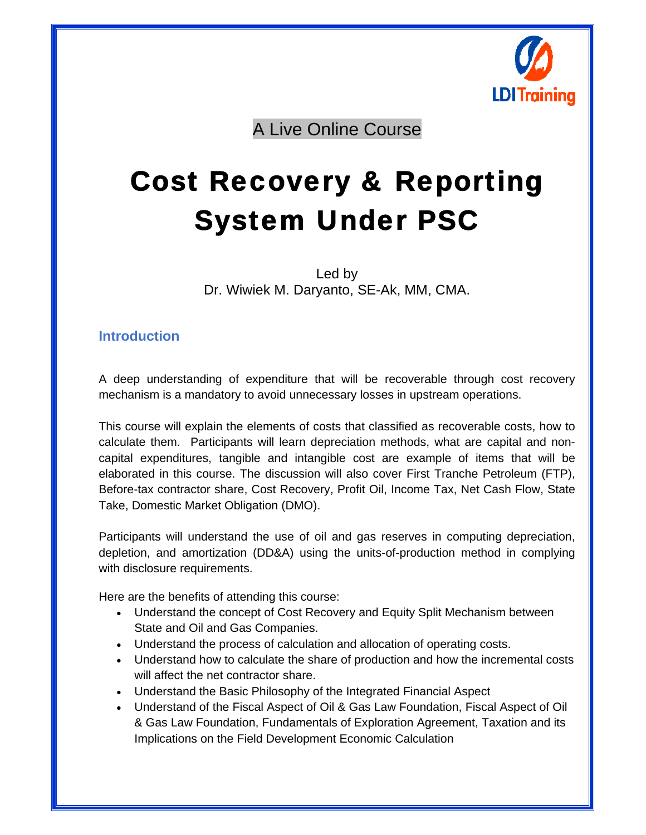

A Live Online Course

# Cost Recovery & Reporting System Under PSC

Led by Dr. Wiwiek M. Daryanto, SE-Ak, MM, CMA.

## **Introduction**

A deep understanding of expenditure that will be recoverable through cost recovery mechanism is a mandatory to avoid unnecessary losses in upstream operations.

This course will explain the elements of costs that classified as recoverable costs, how to calculate them. Participants will learn depreciation methods, what are capital and noncapital expenditures, tangible and intangible cost are example of items that will be elaborated in this course. The discussion will also cover First Tranche Petroleum (FTP), Before-tax contractor share, Cost Recovery, Profit Oil, Income Tax, Net Cash Flow, State Take, Domestic Market Obligation (DMO).

Participants will understand the use of oil and gas reserves in computing depreciation, depletion, and amortization (DD&A) using the units-of-production method in complying with disclosure requirements.

Here are the benefits of attending this course:

- Understand the concept of Cost Recovery and Equity Split Mechanism between State and Oil and Gas Companies.
- Understand the process of calculation and allocation of operating costs.
- Understand how to calculate the share of production and how the incremental costs will affect the net contractor share.
- Understand the Basic Philosophy of the Integrated Financial Aspect
- Understand of the Fiscal Aspect of Oil & Gas Law Foundation, Fiscal Aspect of Oil & Gas Law Foundation, Fundamentals of Exploration Agreement, Taxation and its Implications on the Field Development Economic Calculation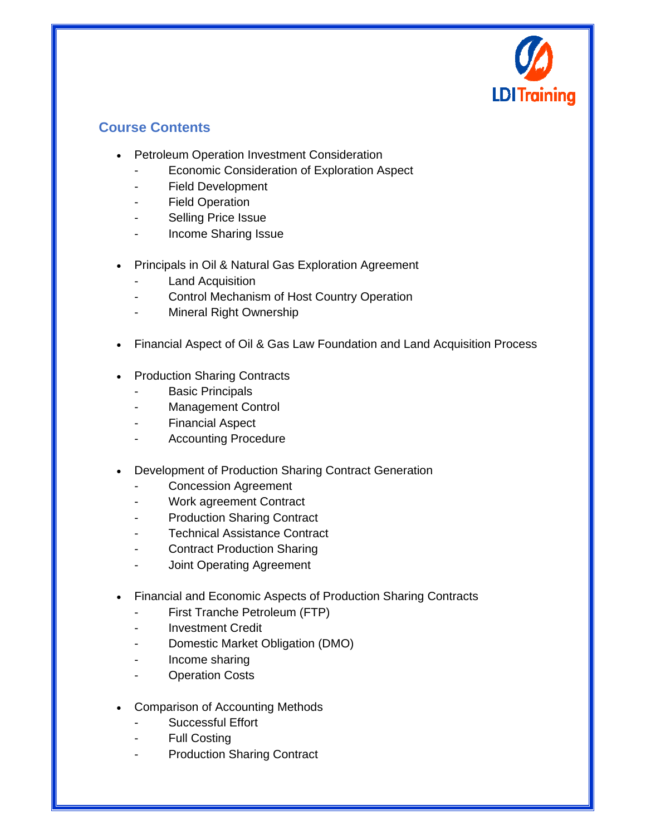

## **Course Contents**

- **•** Petroleum Operation Investment Consideration
	- Economic Consideration of Exploration Aspect
	- Field Development
	- Field Operation
	- Selling Price Issue
	- Income Sharing Issue
- Principals in Oil & Natural Gas Exploration Agreement
	- Land Acquisition
	- Control Mechanism of Host Country Operation
	- Mineral Right Ownership
- Financial Aspect of Oil & Gas Law Foundation and Land Acquisition Process
- Production Sharing Contracts
	- **Basic Principals**
	- Management Control
	- Financial Aspect
	- Accounting Procedure
- Development of Production Sharing Contract Generation
	- Concession Agreement
	- Work agreement Contract
	- **Production Sharing Contract**
	- Technical Assistance Contract
	- Contract Production Sharing
	- Joint Operating Agreement
- Financial and Economic Aspects of Production Sharing Contracts
	- First Tranche Petroleum (FTP)
	- Investment Credit
	- Domestic Market Obligation (DMO)
	- Income sharing
	- Operation Costs
- Comparison of Accounting Methods
	- Successful Effort
	- **Full Costing**

 $\overline{a}$ 

**Production Sharing Contract**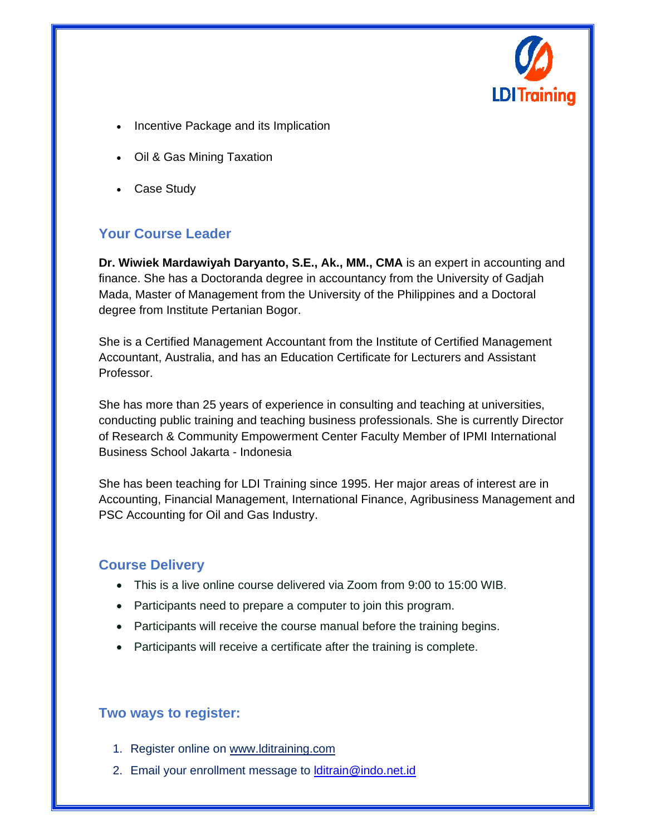

- Incentive Package and its Implication
- Oil & Gas Mining Taxation
- Case Study

## **Your Course Leader**

**Dr. Wiwiek Mardawiyah Daryanto, S.E., Ak., MM., CMA** is an expert in accounting and finance. She has a Doctoranda degree in accountancy from the University of Gadjah Mada, Master of Management from the University of the Philippines and a Doctoral degree from Institute Pertanian Bogor.

She is a Certified Management Accountant from the Institute of Certified Management Accountant, Australia, and has an Education Certificate for Lecturers and Assistant Professor.

She has more than 25 years of experience in consulting and teaching at universities, conducting public training and teaching business professionals. She is currently Director of Research & Community Empowerment Center Faculty Member of IPMI International Business School Jakarta - Indonesia

She has been teaching for LDI Training since 1995. Her major areas of interest are in Accounting, Financial Management, International Finance, Agribusiness Management and PSC Accounting for Oil and Gas Industry.

## **Course Delivery**

- This is a live online course delivered via Zoom from 9:00 to 15:00 WIB.
- Participants need to prepare a computer to join this program.
- Participants will receive the course manual before the training begins.
- Participants will receive a certificate after the training is complete.

## **Two ways to register:**

- 1. Register online on www.lditraining.com
- 2. Email your enrollment message to **Iditrain@indo.net.id**